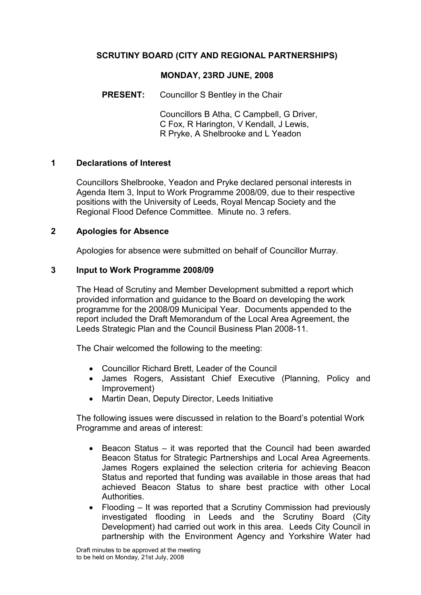# SCRUTINY BOARD (CITY AND REGIONAL PARTNERSHIPS)

### MONDAY, 23RD JUNE, 2008

PRESENT: Councillor S Bentley in the Chair

 Councillors B Atha, C Campbell, G Driver, C Fox, R Harington, V Kendall, J Lewis, R Pryke, A Shelbrooke and L Yeadon

### 1 Declarations of Interest

Councillors Shelbrooke, Yeadon and Pryke declared personal interests in Agenda Item 3, Input to Work Programme 2008/09, due to their respective positions with the University of Leeds, Royal Mencap Society and the Regional Flood Defence Committee. Minute no. 3 refers.

### 2 Apologies for Absence

Apologies for absence were submitted on behalf of Councillor Murray.

### 3 Input to Work Programme 2008/09

The Head of Scrutiny and Member Development submitted a report which provided information and guidance to the Board on developing the work programme for the 2008/09 Municipal Year. Documents appended to the report included the Draft Memorandum of the Local Area Agreement, the Leeds Strategic Plan and the Council Business Plan 2008-11.

The Chair welcomed the following to the meeting:

- Councillor Richard Brett, Leader of the Council
- James Rogers, Assistant Chief Executive (Planning, Policy and Improvement)
- Martin Dean, Deputy Director, Leeds Initiative

The following issues were discussed in relation to the Board's potential Work Programme and areas of interest:

- Beacon Status it was reported that the Council had been awarded Beacon Status for Strategic Partnerships and Local Area Agreements. James Rogers explained the selection criteria for achieving Beacon Status and reported that funding was available in those areas that had achieved Beacon Status to share best practice with other Local Authorities.
- Flooding It was reported that a Scrutiny Commission had previously investigated flooding in Leeds and the Scrutiny Board (City Development) had carried out work in this area. Leeds City Council in partnership with the Environment Agency and Yorkshire Water had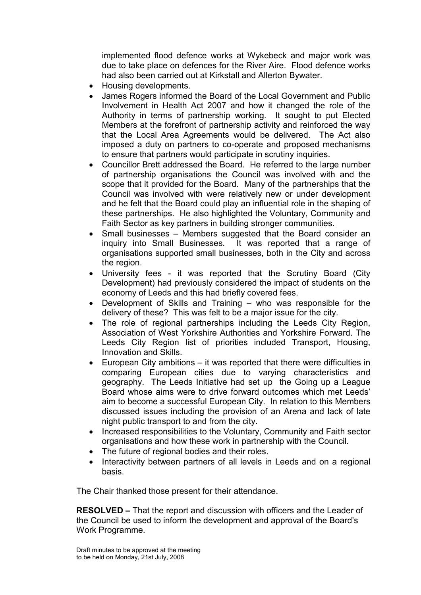implemented flood defence works at Wykebeck and major work was due to take place on defences for the River Aire. Flood defence works had also been carried out at Kirkstall and Allerton Bywater.

- Housing developments.
- James Rogers informed the Board of the Local Government and Public Involvement in Health Act 2007 and how it changed the role of the Authority in terms of partnership working. It sought to put Elected Members at the forefront of partnership activity and reinforced the way that the Local Area Agreements would be delivered. The Act also imposed a duty on partners to co-operate and proposed mechanisms to ensure that partners would participate in scrutiny inquiries.
- Councillor Brett addressed the Board. He referred to the large number of partnership organisations the Council was involved with and the scope that it provided for the Board. Many of the partnerships that the Council was involved with were relatively new or under development and he felt that the Board could play an influential role in the shaping of these partnerships. He also highlighted the Voluntary, Community and Faith Sector as key partners in building stronger communities.
- Small businesses Members suggested that the Board consider an inquiry into Small Businesses. It was reported that a range of organisations supported small businesses, both in the City and across the region.
- University fees it was reported that the Scrutiny Board (City Development) had previously considered the impact of students on the economy of Leeds and this had briefly covered fees.
- Development of Skills and Training who was responsible for the delivery of these? This was felt to be a major issue for the city.
- The role of regional partnerships including the Leeds City Region, Association of West Yorkshire Authorities and Yorkshire Forward. The Leeds City Region list of priorities included Transport, Housing, Innovation and Skills.
- European City ambitions it was reported that there were difficulties in comparing European cities due to varying characteristics and geography. The Leeds Initiative had set up the Going up a League Board whose aims were to drive forward outcomes which met Leeds' aim to become a successful European City. In relation to this Members discussed issues including the provision of an Arena and lack of late night public transport to and from the city.
- Increased responsibilities to the Voluntary, Community and Faith sector organisations and how these work in partnership with the Council.
- The future of regional bodies and their roles.
- Interactivity between partners of all levels in Leeds and on a regional basis.

The Chair thanked those present for their attendance.

RESOLVED – That the report and discussion with officers and the Leader of the Council be used to inform the development and approval of the Board's Work Programme.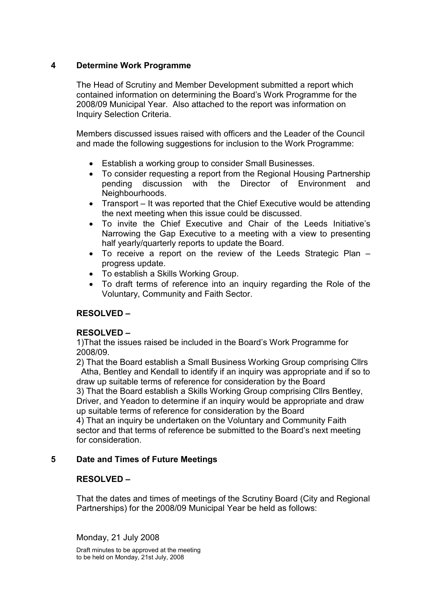## 4 Determine Work Programme

The Head of Scrutiny and Member Development submitted a report which contained information on determining the Board's Work Programme for the 2008/09 Municipal Year. Also attached to the report was information on Inquiry Selection Criteria.

Members discussed issues raised with officers and the Leader of the Council and made the following suggestions for inclusion to the Work Programme:

- Establish a working group to consider Small Businesses.
- To consider requesting a report from the Regional Housing Partnership<br>pending discussion with the Director of Environment and pending discussion with the Director of Environment and Neighbourhoods.
- Transport It was reported that the Chief Executive would be attending the next meeting when this issue could be discussed.
- To invite the Chief Executive and Chair of the Leeds Initiative's Narrowing the Gap Executive to a meeting with a view to presenting half yearly/quarterly reports to update the Board.
- To receive a report on the review of the Leeds Strategic Plan progress update.
- To establish a Skills Working Group.
- To draft terms of reference into an inquiry regarding the Role of the Voluntary, Community and Faith Sector.

# RESOLVED –

### RESOLVED –

1)That the issues raised be included in the Board's Work Programme for 2008/09.

2) That the Board establish a Small Business Working Group comprising Cllrs Atha, Bentley and Kendall to identify if an inquiry was appropriate and if so to draw up suitable terms of reference for consideration by the Board 3) That the Board establish a Skills Working Group comprising Cllrs Bentley,

Driver, and Yeadon to determine if an inquiry would be appropriate and draw up suitable terms of reference for consideration by the Board 4) That an inquiry be undertaken on the Voluntary and Community Faith

sector and that terms of reference be submitted to the Board's next meeting for consideration.

### 5 Date and Times of Future Meetings

# RESOLVED –

That the dates and times of meetings of the Scrutiny Board (City and Regional Partnerships) for the 2008/09 Municipal Year be held as follows:

Monday, 21 July 2008

Draft minutes to be approved at the meeting to be held on Monday, 21st July, 2008